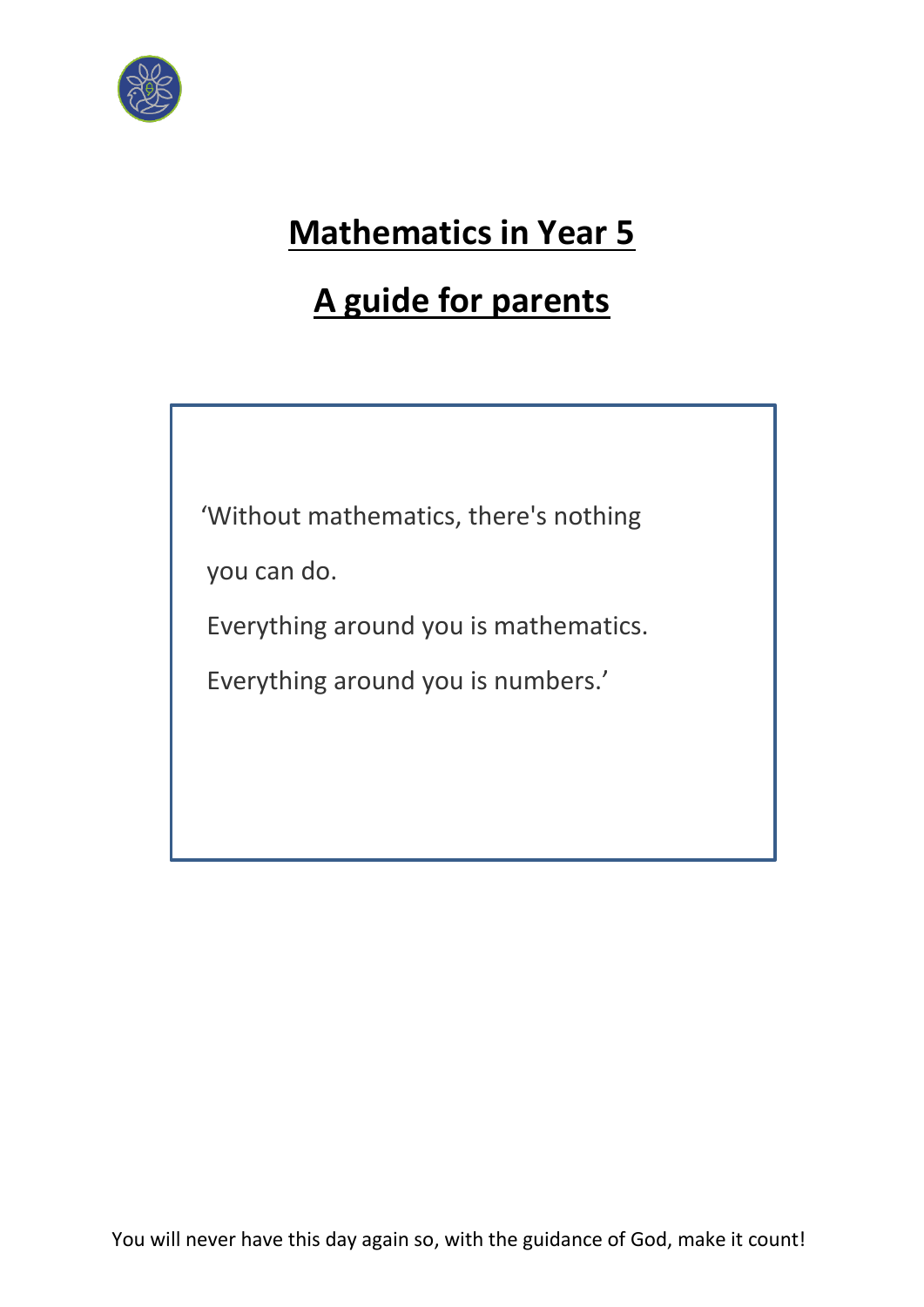

# **Mathematics in Year 5**

# **A guide for parents**

'Without mathematics, there's nothing

you can do.

Everything around you is mathematics.

Everything around you is numbers.'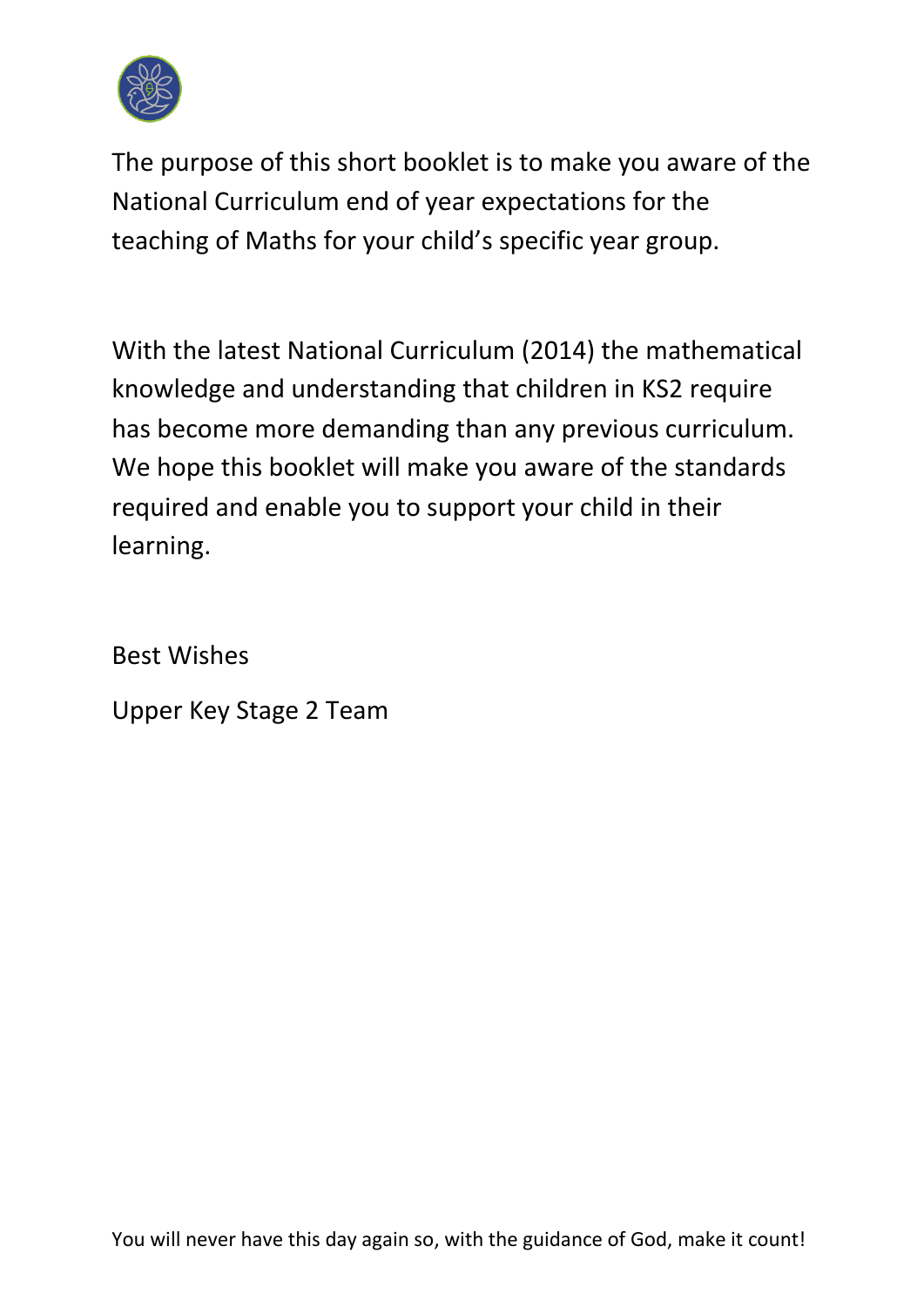

The purpose of this short booklet is to make you aware of the National Curriculum end of year expectations for the teaching of Maths for your child's specific year group.

With the latest National Curriculum (2014) the mathematical knowledge and understanding that children in KS2 require has become more demanding than any previous curriculum. We hope this booklet will make you aware of the standards required and enable you to support your child in their learning.

Best Wishes

Upper Key Stage 2 Team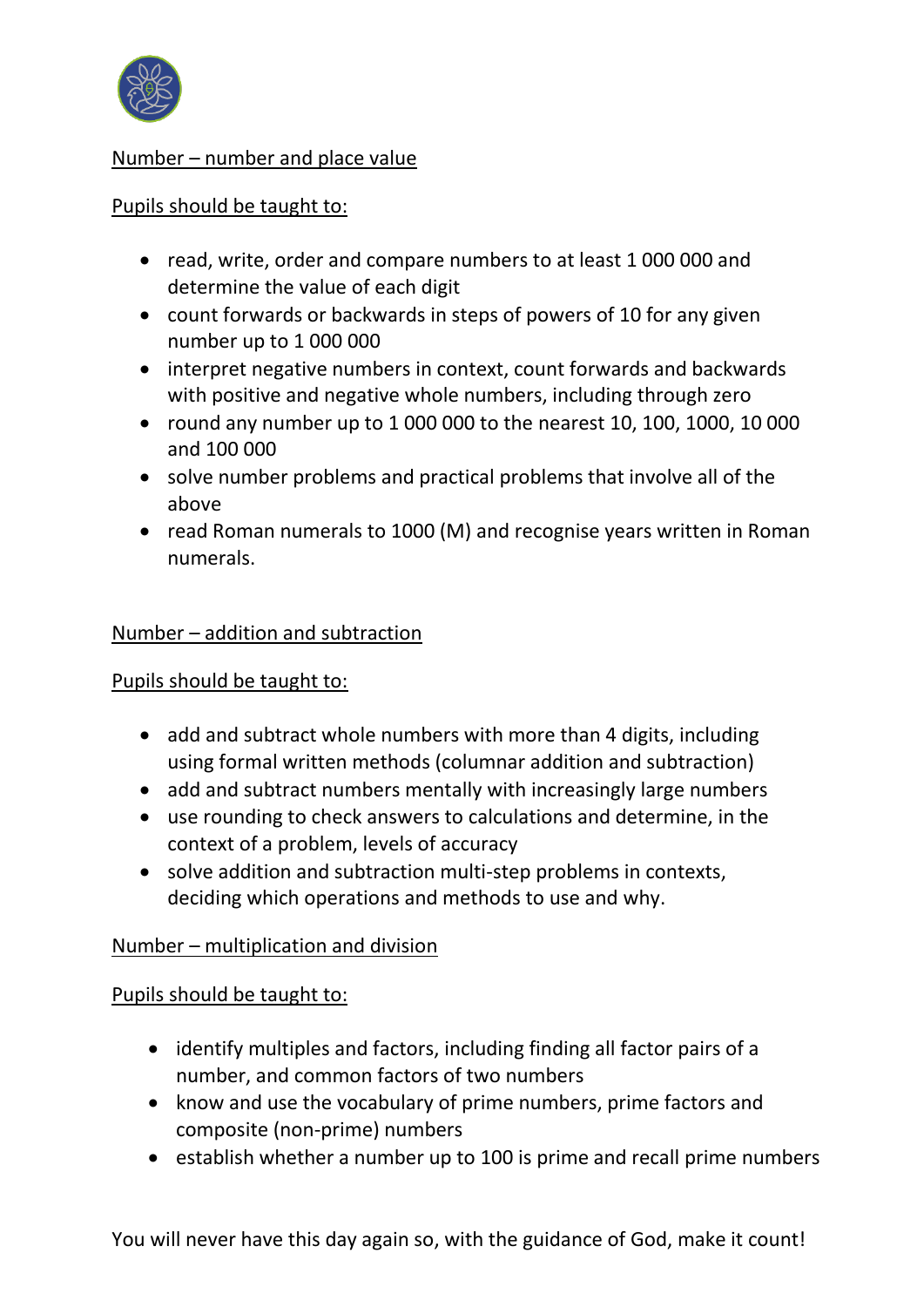

## Number – number and place value

## Pupils should be taught to:

- read, write, order and compare numbers to at least 1 000 000 and determine the value of each digit
- count forwards or backwards in steps of powers of 10 for any given number up to 1 000 000
- interpret negative numbers in context, count forwards and backwards with positive and negative whole numbers, including through zero
- round any number up to 1 000 000 to the nearest 10, 100, 1000, 10 000 and 100 000
- solve number problems and practical problems that involve all of the above
- read Roman numerals to 1000 (M) and recognise years written in Roman numerals.

## Number – addition and subtraction

## Pupils should be taught to:

- add and subtract whole numbers with more than 4 digits, including using formal written methods (columnar addition and subtraction)
- add and subtract numbers mentally with increasingly large numbers
- use rounding to check answers to calculations and determine, in the context of a problem, levels of accuracy
- solve addition and subtraction multi-step problems in contexts, deciding which operations and methods to use and why.

## Number – multiplication and division

## Pupils should be taught to:

- identify multiples and factors, including finding all factor pairs of a number, and common factors of two numbers
- know and use the vocabulary of prime numbers, prime factors and composite (non-prime) numbers
- establish whether a number up to 100 is prime and recall prime numbers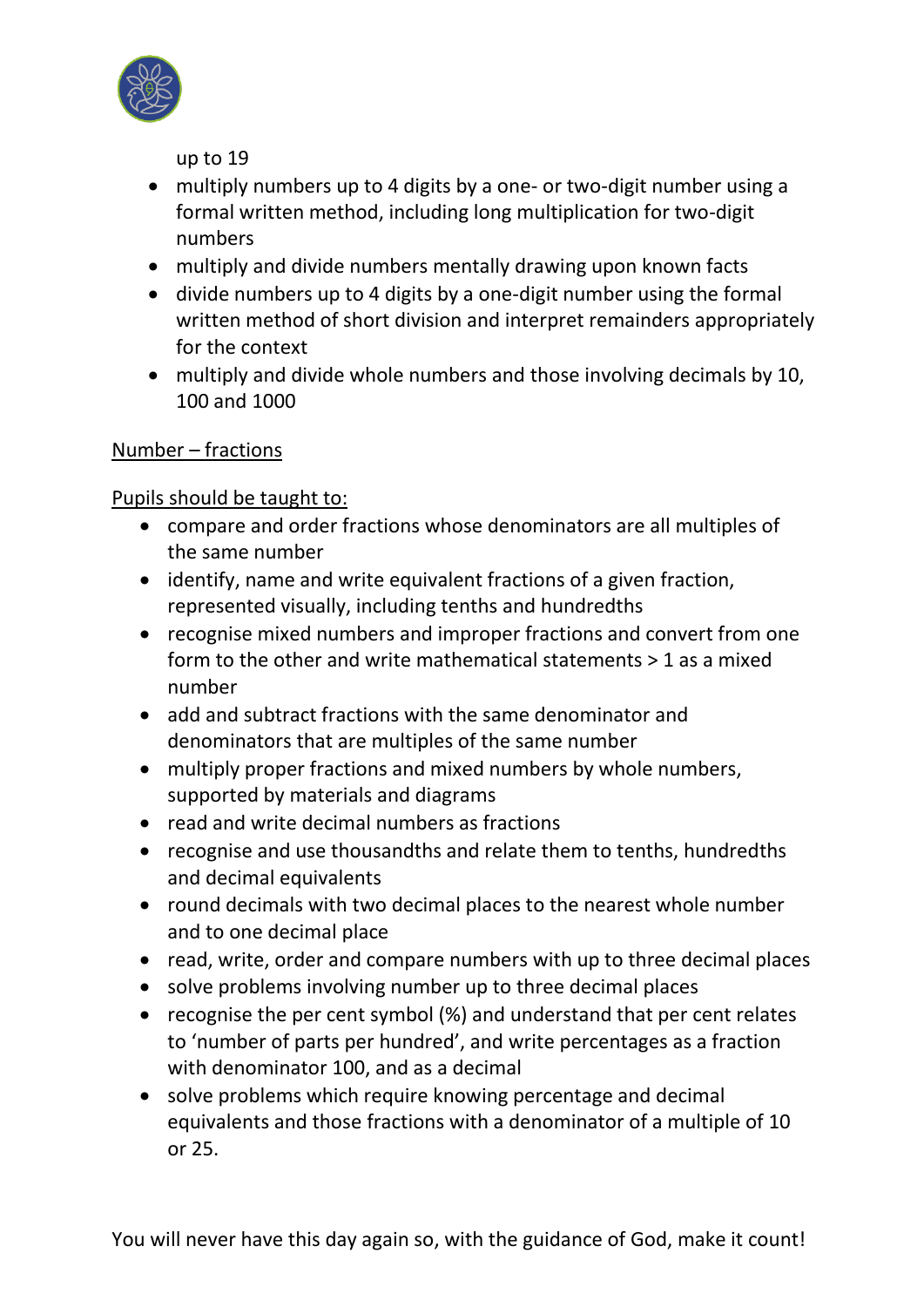

up to 19

- multiply numbers up to 4 digits by a one- or two-digit number using a formal written method, including long multiplication for two-digit numbers
- multiply and divide numbers mentally drawing upon known facts
- divide numbers up to 4 digits by a one-digit number using the formal written method of short division and interpret remainders appropriately for the context
- multiply and divide whole numbers and those involving decimals by 10, 100 and 1000

# Number – fractions

# Pupils should be taught to:

- compare and order fractions whose denominators are all multiples of the same number
- identify, name and write equivalent fractions of a given fraction, represented visually, including tenths and hundredths
- recognise mixed numbers and improper fractions and convert from one form to the other and write mathematical statements > 1 as a mixed number
- add and subtract fractions with the same denominator and denominators that are multiples of the same number
- multiply proper fractions and mixed numbers by whole numbers, supported by materials and diagrams
- read and write decimal numbers as fractions
- recognise and use thousandths and relate them to tenths, hundredths and decimal equivalents
- round decimals with two decimal places to the nearest whole number and to one decimal place
- read, write, order and compare numbers with up to three decimal places
- solve problems involving number up to three decimal places
- recognise the per cent symbol (%) and understand that per cent relates to 'number of parts per hundred', and write percentages as a fraction with denominator 100, and as a decimal
- solve problems which require knowing percentage and decimal equivalents and those fractions with a denominator of a multiple of 10 or 25.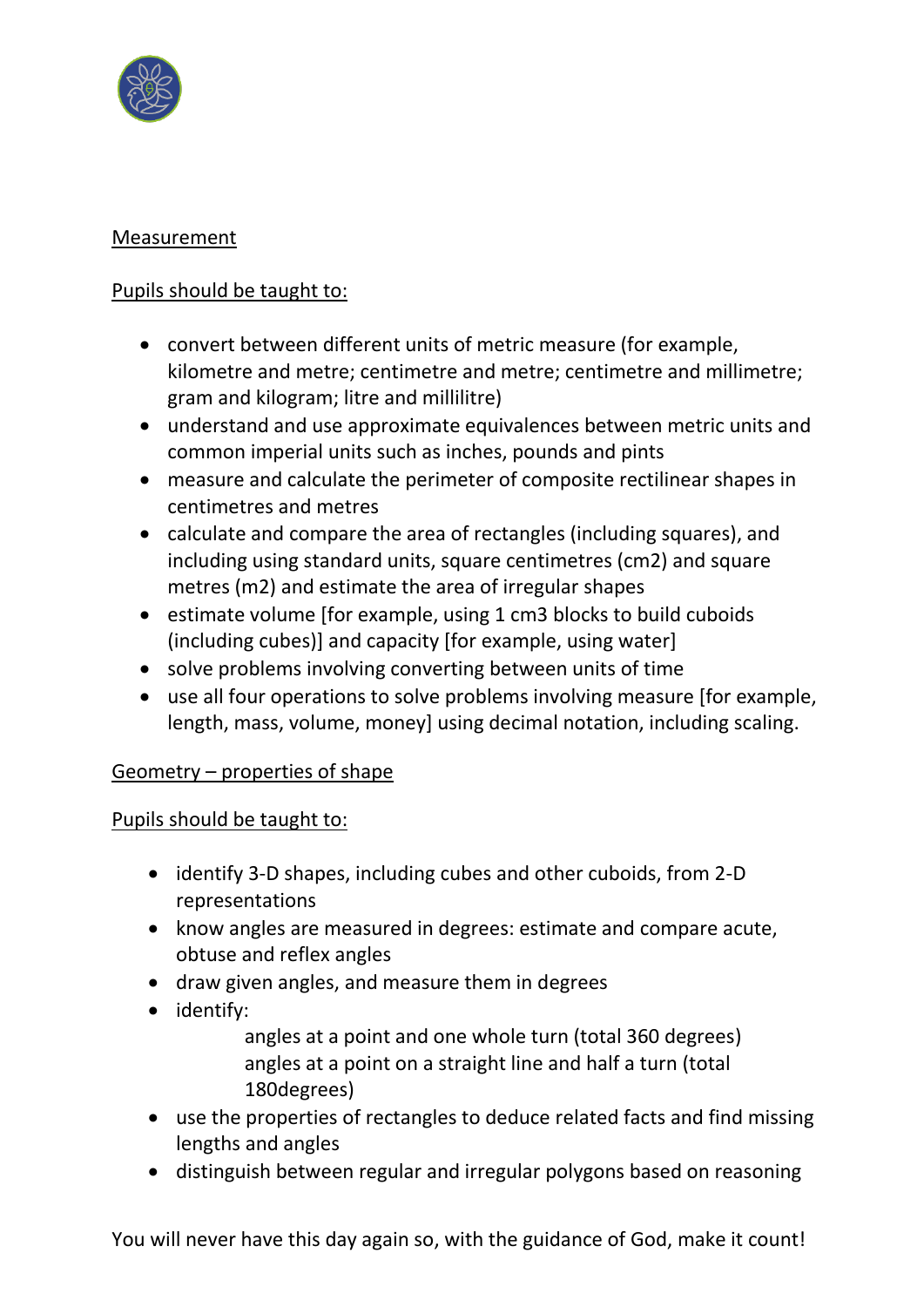

# Measurement

# Pupils should be taught to:

- convert between different units of metric measure (for example, kilometre and metre; centimetre and metre; centimetre and millimetre; gram and kilogram; litre and millilitre)
- understand and use approximate equivalences between metric units and common imperial units such as inches, pounds and pints
- measure and calculate the perimeter of composite rectilinear shapes in centimetres and metres
- calculate and compare the area of rectangles (including squares), and including using standard units, square centimetres (cm2) and square metres (m2) and estimate the area of irregular shapes
- estimate volume [for example, using 1 cm3 blocks to build cuboids (including cubes)] and capacity [for example, using water]
- solve problems involving converting between units of time
- use all four operations to solve problems involving measure [for example, length, mass, volume, money] using decimal notation, including scaling.

## Geometry – properties of shape

## Pupils should be taught to:

- identify 3-D shapes, including cubes and other cuboids, from 2-D representations
- know angles are measured in degrees: estimate and compare acute, obtuse and reflex angles
- draw given angles, and measure them in degrees
- identify:

 angles at a point and one whole turn (total 360 degrees) angles at a point on a straight line and half a turn (total 180degrees)

- use the properties of rectangles to deduce related facts and find missing lengths and angles
- distinguish between regular and irregular polygons based on reasoning

You will never have this day again so, with the guidance of God, make it count!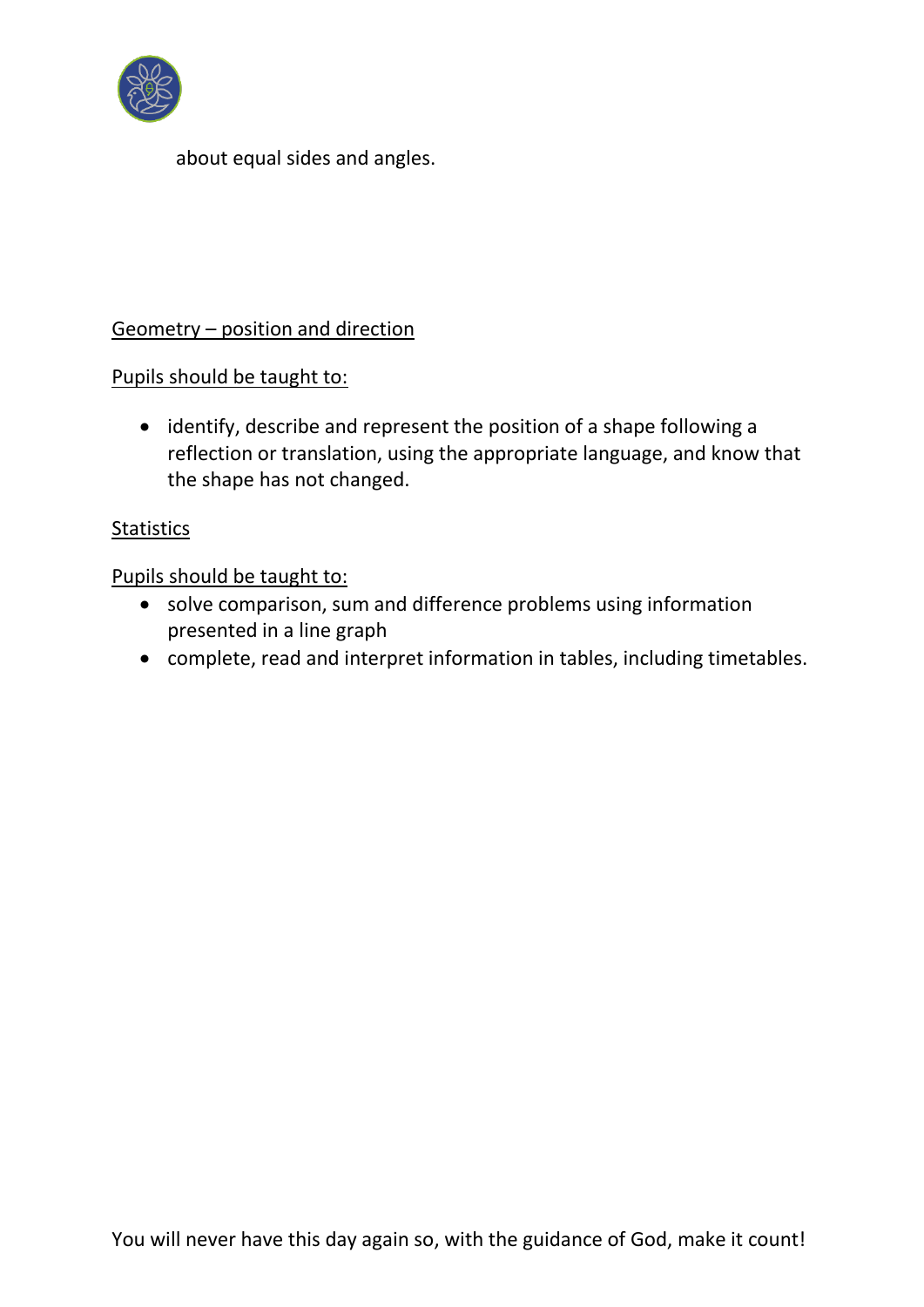

about equal sides and angles.

# Geometry – position and direction

Pupils should be taught to:

• identify, describe and represent the position of a shape following a reflection or translation, using the appropriate language, and know that the shape has not changed.

# **Statistics**

Pupils should be taught to:

- solve comparison, sum and difference problems using information presented in a line graph
- complete, read and interpret information in tables, including timetables.